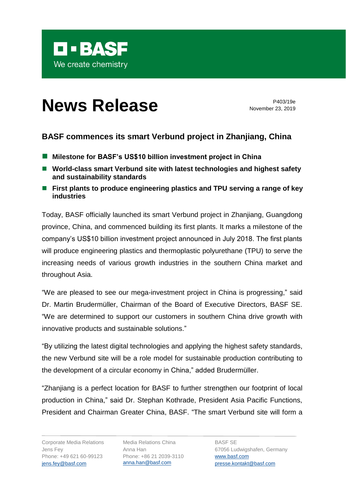

## **News Release** P403/19e

November 23, 2019

## **BASF commences its smart Verbund project in Zhanjiang, China**

- Milestone for BASF's US\$10 billion investment project in China
- World-class smart Verbund site with latest technologies and highest safety **and sustainability standards**
- First plants to produce engineering plastics and TPU serving a range of key **industries**

Today, BASF officially launched its smart Verbund project in Zhanjiang, Guangdong province, China, and commenced building its first plants. It marks a milestone of the company's US\$10 billion investment project announced in July 2018. The first plants will produce engineering plastics and thermoplastic polyurethane (TPU) to serve the increasing needs of various growth industries in the southern China market and throughout Asia.

"We are pleased to see our mega-investment project in China is progressing," said Dr. Martin Brudermüller, Chairman of the Board of Executive Directors, BASF SE. "We are determined to support our customers in southern China drive growth with innovative products and sustainable solutions."

"By utilizing the latest digital technologies and applying the highest safety standards, the new Verbund site will be a role model for sustainable production contributing to the development of a circular economy in China," added Brudermüller.

"Zhanjiang is a perfect location for BASF to further strengthen our footprint of local production in China," said Dr. Stephan Kothrade, President Asia Pacific Functions, President and Chairman Greater China, BASF. "The smart Verbund site will form a

Media Relations China Anna Han Phone: +86 21 2039-3110 [anna.han@basf.com](mailto:anna.han@basf.com)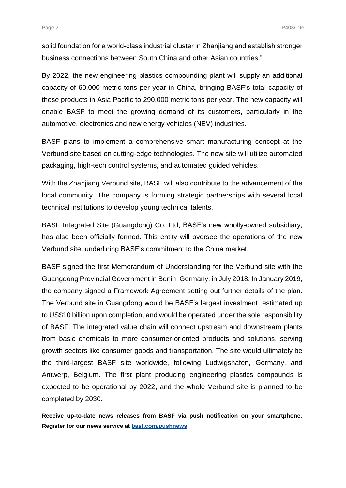solid foundation for a world-class industrial cluster in Zhanjiang and establish stronger business connections between South China and other Asian countries."

By 2022, the new engineering plastics compounding plant will supply an additional capacity of 60,000 metric tons per year in China, bringing BASF's total capacity of these products in Asia Pacific to 290,000 metric tons per year. The new capacity will enable BASF to meet the growing demand of its customers, particularly in the automotive, electronics and new energy vehicles (NEV) industries.

BASF plans to implement a comprehensive smart manufacturing concept at the Verbund site based on cutting-edge technologies. The new site will utilize automated packaging, high-tech control systems, and automated guided vehicles.

With the Zhanjiang Verbund site, BASF will also contribute to the advancement of the local community. The company is forming strategic partnerships with several local technical institutions to develop young technical talents.

BASF Integrated Site (Guangdong) Co. Ltd, BASF's new wholly-owned subsidiary, has also been officially formed. This entity will oversee the operations of the new Verbund site, underlining BASF's commitment to the China market.

BASF signed the first Memorandum of Understanding for the Verbund site with the Guangdong Provincial Government in Berlin, Germany, in July 2018. In January 2019, the company signed a Framework Agreement setting out further details of the plan. The Verbund site in Guangdong would be BASF's largest investment, estimated up to US\$10 billion upon completion, and would be operated under the sole responsibility of BASF. The integrated value chain will connect upstream and downstream plants from basic chemicals to more consumer-oriented products and solutions, serving growth sectors like consumer goods and transportation. The site would ultimately be the third-largest BASF site worldwide, following Ludwigshafen, Germany, and Antwerp, Belgium. The first plant producing engineering plastics compounds is expected to be operational by 2022, and the whole Verbund site is planned to be completed by 2030.

**Receive up-to-date news releases from BASF via push notification on your smartphone. Register for our news service at [basf.com/pushnews.](http://www.basf.com/pushnews)**